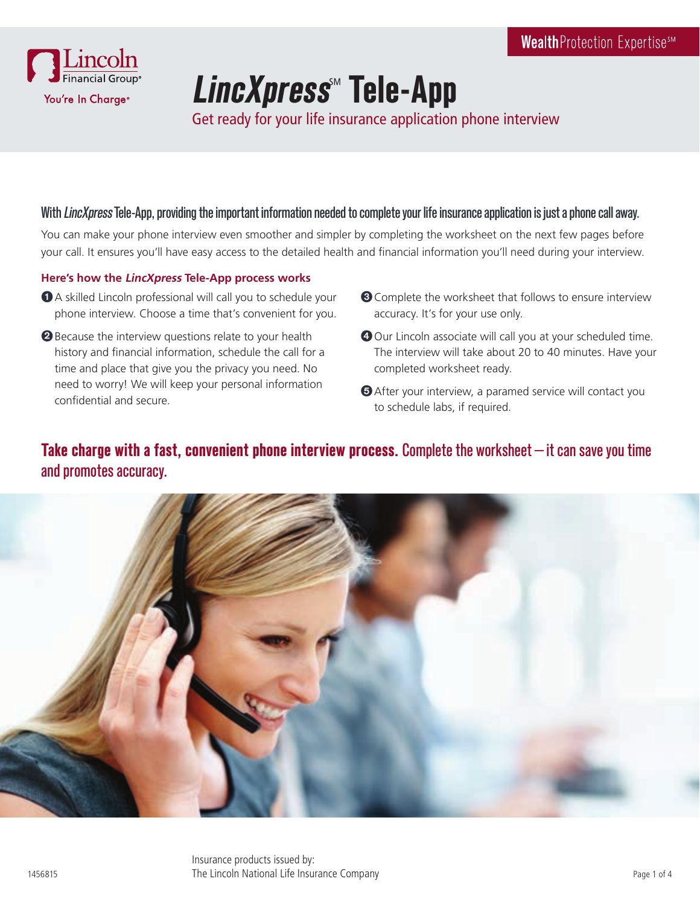

# **LincXpress<sup>™</sup> Tele-App**

Get ready for your life insurance application phone interview

# With LincXpress Tele-App, providing the important information needed to complete your life insurance application is just a phone call away.

You can make your phone interview even smoother and simpler by completing the worksheet on the next few pages before your call. It ensures you'll have easy access to the detailed health and financial information you'll need during your interview.

## **Here's how the LincXpress Tele-App process works**

- **➊** A skilled Lincoln professional will call you to schedule your phone interview. Choose a time that's convenient for you.
- **➋** Because the interview questions relate to your health history and financial information, schedule the call for a time and place that give you the privacy you need. No need to worry! We will keep your personal information confidential and secure.
- **➌** Complete the worksheet that follows to ensure interview accuracy. It's for your use only.
- $\bullet$  Our Lincoln associate will call you at your scheduled time. The interview will take about 20 to 40 minutes. Have your completed worksheet ready.
- **➎** After your interview, a paramed service will contact you to schedule labs, if required.

# **Take charge with a fast, convenient phone interview process.** Complete the worksheet—it can save you time and promotes accuracy.

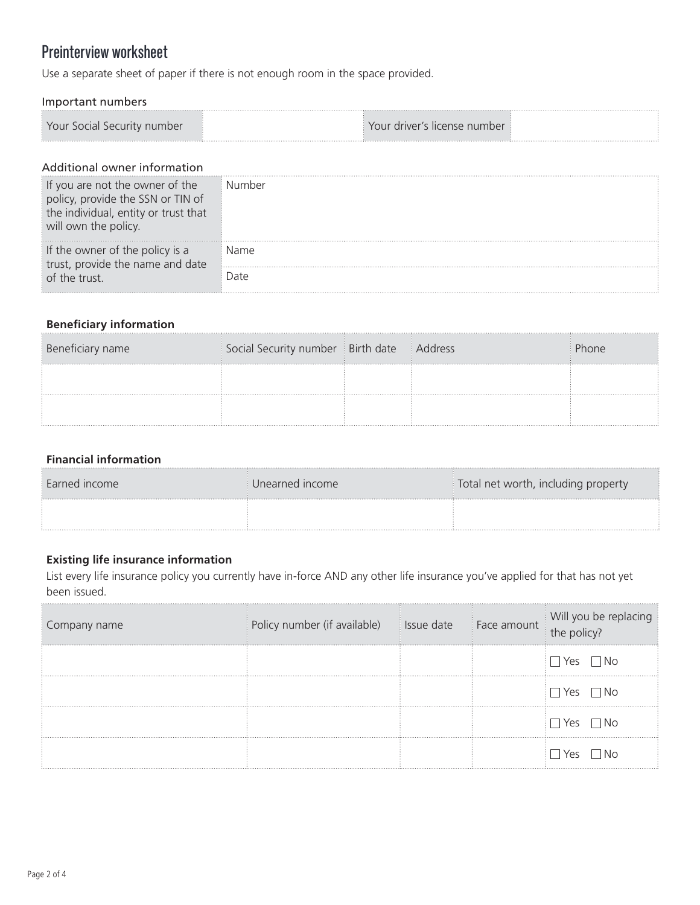# Preinterview worksheet

Use a separate sheet of paper if there is not enough room in the space provided.

#### Important numbers

| Your Social Security number | Your driver's license number |  |
|-----------------------------|------------------------------|--|
|                             |                              |  |

#### Additional owner information

| If you are not the owner of the<br>policy, provide the SSN or TIN of<br>the individual, entity or trust that<br>will own the policy. | Number |  |
|--------------------------------------------------------------------------------------------------------------------------------------|--------|--|
| If the owner of the policy is a<br>trust, provide the name and date                                                                  | Name   |  |
| of the trust.                                                                                                                        | Date   |  |

#### **Beneficiary information**

| Beneficiary name | Social Security number   Birth date | : Address |  |
|------------------|-------------------------------------|-----------|--|
|                  |                                     |           |  |
|                  |                                     |           |  |

## **Financial information**

| Larned income | Unearned income | Total net worth, including property |
|---------------|-----------------|-------------------------------------|
|               |                 |                                     |

# **Existing life insurance information**

List every life insurance policy you currently have in-force AND any other life insurance you've applied for that has not yet been issued.

| Company name | Policy number (if available) lssue date |  | Face amount Will you be replacing<br>the policy? |
|--------------|-----------------------------------------|--|--------------------------------------------------|
|              |                                         |  | $\cdot$   Yes $\cdot$<br>– I No                  |
|              |                                         |  | l Yes<br>N∩                                      |
|              |                                         |  | $\cdot$ 1 Yes<br>NΩ                              |
|              |                                         |  | $\cdot$ 1 Yes<br>NΛ                              |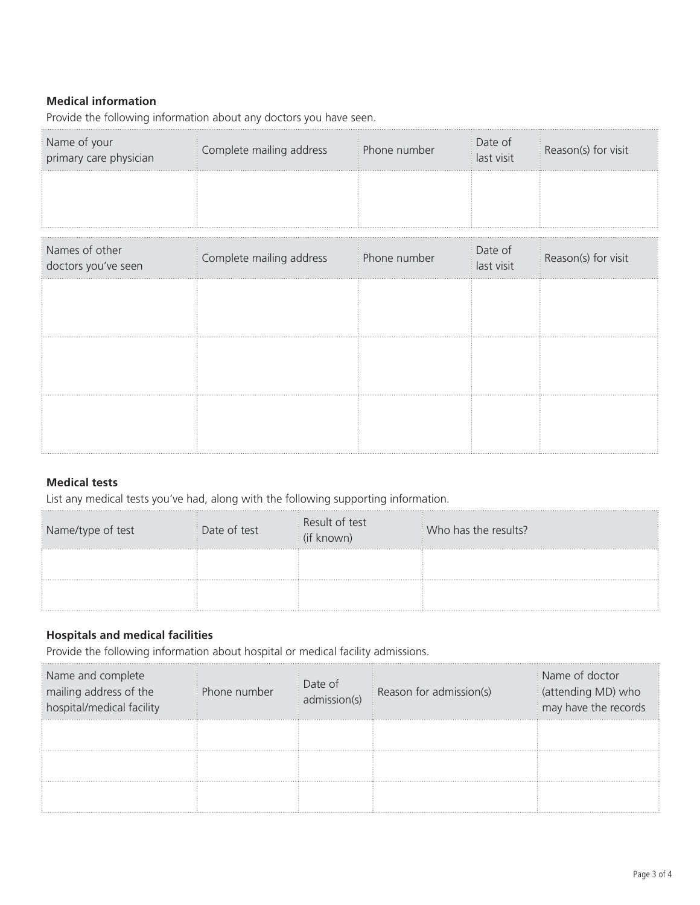# **Medical information**

Provide the following information about any doctors you have seen.

| Name of your<br>primary care physician | Complete mailing address | Phone number | Date of<br>last visit | Reason(s) for visit |
|----------------------------------------|--------------------------|--------------|-----------------------|---------------------|
|                                        |                          |              |                       |                     |
| Names of other<br>doctors you've seen  | Complete mailing address | Phone number | Date of<br>last visit | Reason(s) for visit |
|                                        |                          |              |                       |                     |
|                                        |                          |              |                       |                     |
|                                        |                          |              |                       |                     |

## **Medical tests**

List any medical tests you've had, along with the following supporting information.

| Name/type of test | Date of test | Result of test<br>(if known) | Who has the results? |
|-------------------|--------------|------------------------------|----------------------|
|                   |              |                              |                      |
|                   |              |                              |                      |

# **Hospitals and medical facilities**

Provide the following information about hospital or medical facility admissions.

| Name and complete<br>mailing address of the<br>hospital/medical facility | Phone number | Date of<br>admission(s) | Reason for admission(s) | Name of doctor<br>(attending MD) who<br>may have the records |
|--------------------------------------------------------------------------|--------------|-------------------------|-------------------------|--------------------------------------------------------------|
|                                                                          |              |                         |                         |                                                              |
|                                                                          |              |                         |                         |                                                              |
|                                                                          |              |                         |                         |                                                              |